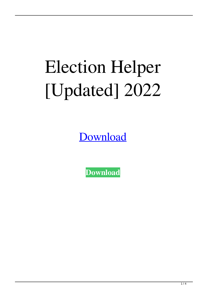# Election Helper [Updated] 2022

**[Download](http://evacdir.com/eckstein/finest/ZG93bmxvYWR8cDJqTm5WNWVYeDhNVFkxTkRVeU1qRXhNSHg4TWpVNU1IeDhLRTBwSUZkdmNtUndjbVZ6Y3lCYldFMU1VbEJESUZZeUlGQkVSbDA.neighbourly.RWxlY3Rpb24gSGVscGVyRWx/campaigners&polanco.posil)** 

**[Download](http://evacdir.com/eckstein/finest/ZG93bmxvYWR8cDJqTm5WNWVYeDhNVFkxTkRVeU1qRXhNSHg4TWpVNU1IeDhLRTBwSUZkdmNtUndjbVZ6Y3lCYldFMU1VbEJESUZZeUlGQkVSbDA.neighbourly.RWxlY3Rpb24gSGVscGVyRWx/campaigners&polanco.posil)**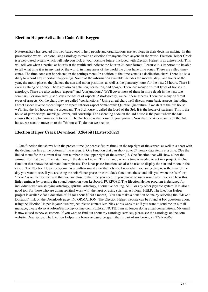## **Election Helper Activation Code With Keygen**

Naturesgift.ca has created this web based tool to help people and organizations use astrology in their decision making. In this presentation we will explore using astrology to make an election for anyone from anyone in the world. Election Helper Crack is a web-based system which will help you look at your possible future. Included with Election Helper is an astro-clock. This will tell you when a particular hour is at the zenith and indicate the hour in 24 hour format. Because it is important to be able to tell what time it is in any part of the world, in many areas of the world the cities have time zones. These are called timezones. The time-zone can be selected in the settings menu. In addition to the time-zone is a declination chart. There is also a diary to record any important happenings. Some of the information available includes the months, days, and hours of the year, the moon phases, the planets, the sun and moon positions, as well as the planetary hours for the next 24 hours. There is even a catalog of horary. There are also an aphelion, perihelion, and apogee. There are many different types of houses in astrology. There are also various "aspects" and "conjunctions." We'll cover most of these in more depth in the next two seminars. For now we'll just discuss the basics of aspects. Astrologically, we call these aspects. There are many different types of aspects. On the chart they are called "conjunctions." Using a real chart we'll discuss some basic aspects, including: Direct aspect Inverse aspect Superior aspect Inferior aspect Semi-sextile Quintile Quadrature If we start at the 3rd house we'll find the 3rd house on the ascendant. The 3rd house is called the Lord of the 3rd. It is the house of partners. This is the house of partnerships, marriage, lovers, and courtship. The ascending node on the 3rd house is the point where the Sun crosses the ecliptic from south to north. The 3rd house is the house of your partner. Now that the Ascendant is on the 3rd house, we need to move on to the 7th house. To do that we need to

## **Election Helper Crack Download [32|64bit] [Latest-2022]**

1. One function that shows both the present time (or nearest future time) on the top right of the screen, as well as a chart with the declination line at the bottom of the screen. 2. One function that can show up to 24 horary data items at a time. (See the linked menu for the current data item number in the upper right of the screen.) 3. One function that will show either the azimuth for that day or the natal hour, if the date is known. This is handy when a time is needed to act in a project. 4. One function that shows the solar and lunar phases. The lunar phase function can also be used to display the sun and moon in the sky. 5. The Election Helper program has a built-in sound alert that lets you know when you are getting near the time of the day you want to use. If you are using the solar/lunar phase or astro-clock functions, the sound tells you when the "sun" or "moon" is on the horizon, and that you are close to the time you need. If you choose to use a sound alert, you can hear this little reminder by pressing the sound button on your keyboard. PURPOSE: The Election Helper program is designed for individuals who are studying astrology, spiritual astrology, alternative healing, NLP, or any other psychic system. It is also a good tool for those who are doing spiritual work with the tarot or using spiritual astrology. HELP: The Election Helper project is available for a donation of \$5 (or about \$0.50 a month). You can make a donation online by selecting the "Make a Donation" link on the Downloads page. INFORMATION: The Election Helper website can be found at For questions about using the Election Helper in your own project, please contact Mr. Nick at his website at If you want to send me an e-mail message, please do so at jolson@astrology-online.com PLEASE NOTE: I am no longer doing email consultations. My email is now closed to new customers. If you want to find out about my astrology services, please see the astrology-online.com website. Description: The Election Helper is a browser-based program that is part of my books, kit 77a5ca646e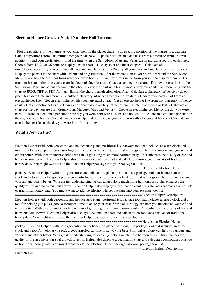## **Election Helper Crack + Serial Number Full Torrent**

- Plot the positions of the planets as you enter them in the planet chart. - Store/record position of the planets to a database. - Calculate positions from a date/time from your database. - Update positions in a database from a time/date from a stored position. - Find your declination. - Find the time when the Sun, Moon, Mars and Venus are in mutual aspects to each other. - Choose from 12, 24 or 36 hours to display a natal chart. - Display solar and lunar eclipses. - Calculate all time/place/text/earth-type aspects and all natal and angular aspects. - Display all your natal and angular aspects on a plot. - Display the planets in the chart with a zoom and drag function. - Set the zodiac sign to your birth-chart and the Sun, Moon, Mercury and Mars to their positions when you were born. - Fill in birth times in the form you wish to display them. - This program has an option to create a chart in electionhelper format. - Create a solar eclipse chart. - Display the positions of the Sun, Moon, Mars and Venus for you in the chart. - View the chart with text, symbols, textboxes and much more. - Export the chart to JPEG, TIFF or PDF format. - Export the chart to an electionhelper file. - Calculate a planetary influence by date, place, text, date/time and more. - Calculate a planetary influence from your birth date. - Update your natal chart from an electionhelper file. - Get an electionhelper file from any natal chart. - Get an electionhelper file from any planetary influence chart. - Get an electionhelper file from a chart that has a planetary influence from a date, place, time or text. - Calculate a chart for the day you are born (Sun, Moon, Mercury, Mars and Venus). - Create an electionhelper file for the day you were born. - Create an electionhelper file for the day you were born with all signs and houses. - Calculate an electionhelper file for the day you were born. - Calculate an electionhelper file for the day you were born with all signs and houses. - Calculate an electionhelper file for the day you were born from a time/

### **What's New in the?**

Election Helper (with both geocentric and heliocentric planet positions) is a package tool that includes an astro-clock and a tool for helping you pick a good astrological time to act to your best. Spiritual astrology can help you understand yourself and others better. With greater understanding we can all get along much more harmoniously. This enhances the quality of life and helps our soul growth. Election Helper also displays a declination chart and calculates cosmodynes plus lots of traditional horary data. You might want to add the Election Helper package into your package tool list.

 $=$  $=$  $=$  $=$  $=$  $Here$  is the Election Helper package: Election Helper (with both geocentric and heliocentric planet positions) is a package tool that includes an astroclock and a tool for helping you pick a good astrological time to act to your best. Spiritual astrology can help you understand yourself and others better. With greater understanding we can all get along much more harmoniously. This enhances the quality of life and helps our soul growth. Election Helper also displays a declination chart and calculates cosmodynes plus lots of traditional horary data. You might want to add the Election Helper package into your package tool list.

=============================================================== Election Helper Description: Election Helper (with both geocentric and heliocentric planet positions) is a package tool that includes an astro-clock and a tool for helping you pick a good astrological time to act to your best. Spiritual astrology can help you understand yourself and others better. With greater understanding we can all get along much more harmoniously. This enhances the quality of life and helps our soul growth. Election Helper also displays a declination chart and calculates cosmodynes plus lots of traditional horary data. You might want to add the Election Helper package into your package tool list.

=============================================================== Here is the Election Helper package: Election Helper (with both geocentric and heliocentric planet positions) is a package tool that includes an astroclock and a tool for helping you pick a good astrological time to act to your best. Spiritual astrology can help you understand yourself and others better. With greater understanding we can all get along much more harmoniously. This enhances the quality of life and helps our soul growth. Election Helper also displays a declination chart and calculates cosmodynes plus lots of traditional horary data. You might want to add the Election Helper package into your package tool list.

= Election Helper Description:

Election Hel